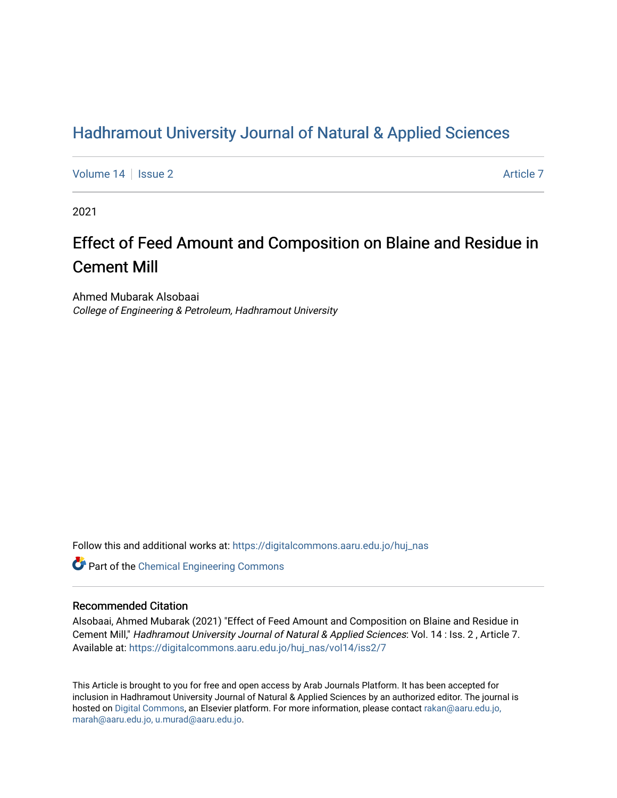# [Hadhramout University Journal of Natural & Applied Sciences](https://digitalcommons.aaru.edu.jo/huj_nas)

[Volume 14](https://digitalcommons.aaru.edu.jo/huj_nas/vol14) Suitsue 2 [Article 7](https://digitalcommons.aaru.edu.jo/huj_nas/vol14/iss2/7) Article 7 Article 7

2021

# Effect of Feed Amount and Composition on Blaine and Residue in Cement Mill

Ahmed Mubarak Alsobaai College of Engineering & Petroleum, Hadhramout University

Follow this and additional works at: [https://digitalcommons.aaru.edu.jo/huj\\_nas](https://digitalcommons.aaru.edu.jo/huj_nas?utm_source=digitalcommons.aaru.edu.jo%2Fhuj_nas%2Fvol14%2Fiss2%2F7&utm_medium=PDF&utm_campaign=PDFCoverPages) 

Part of the [Chemical Engineering Commons](http://network.bepress.com/hgg/discipline/240?utm_source=digitalcommons.aaru.edu.jo%2Fhuj_nas%2Fvol14%2Fiss2%2F7&utm_medium=PDF&utm_campaign=PDFCoverPages)

### Recommended Citation

Alsobaai, Ahmed Mubarak (2021) "Effect of Feed Amount and Composition on Blaine and Residue in Cement Mill," Hadhramout University Journal of Natural & Applied Sciences: Vol. 14 : Iss. 2 , Article 7. Available at: [https://digitalcommons.aaru.edu.jo/huj\\_nas/vol14/iss2/7](https://digitalcommons.aaru.edu.jo/huj_nas/vol14/iss2/7?utm_source=digitalcommons.aaru.edu.jo%2Fhuj_nas%2Fvol14%2Fiss2%2F7&utm_medium=PDF&utm_campaign=PDFCoverPages)

This Article is brought to you for free and open access by Arab Journals Platform. It has been accepted for inclusion in Hadhramout University Journal of Natural & Applied Sciences by an authorized editor. The journal is hosted on [Digital Commons](https://www.elsevier.com/solutions/digital-commons), an Elsevier platform. For more information, please contact [rakan@aaru.edu.jo,](mailto:rakan@aaru.edu.jo,%20marah@aaru.edu.jo,%20u.murad@aaru.edu.jo)  [marah@aaru.edu.jo, u.murad@aaru.edu.jo.](mailto:rakan@aaru.edu.jo,%20marah@aaru.edu.jo,%20u.murad@aaru.edu.jo)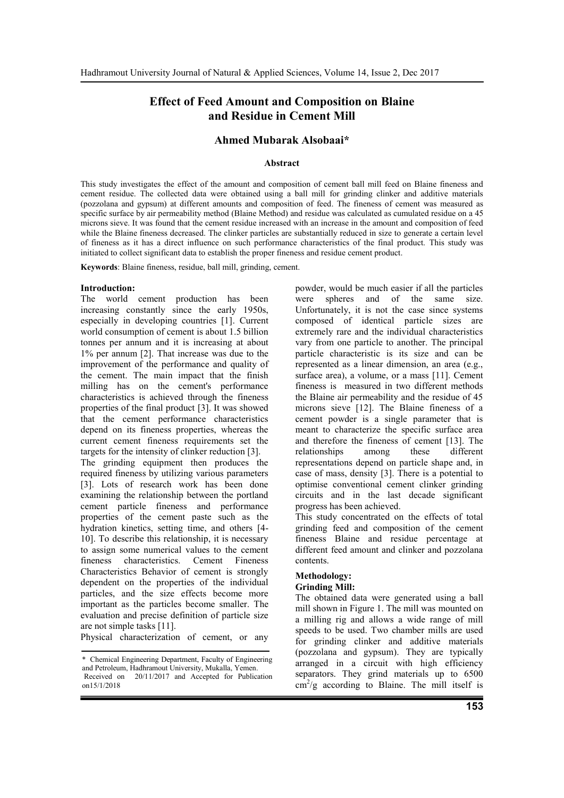# **Effect of Feed Amount and Composition on Blaine and Residue in Cement Mill**

# **Ahmed Mubarak Alsobaai\***

#### **Abstract**

This study investigates the effect of the amount and composition of cement ball mill feed on Blaine fineness and cement residue. The collected data were obtained using a ball mill for grinding clinker and additive materials (pozzolana and gypsum) at different amounts and composition of feed. The fineness of cement was measured as specific surface by air permeability method (Blaine Method) and residue was calculated as cumulated residue on a 45 microns sieve. It was found that the cement residue increased with an increase in the amount and composition of feed while the Blaine fineness decreased. The clinker particles are substantially reduced in size to generate a certain level of fineness as it has a direct influence on such performance characteristics of the final product. This study was initiated to collect significant data to establish the proper fineness and residue cement product.

**Keywords**: Blaine fineness, residue, ball mill, grinding, cement.

#### **Introduction:**

The world cement production has been increasing constantly since the early 1950s, especially in developing countries [1]. Current world consumption of cement is about 1.5 billion tonnes per annum and it is increasing at about 1% per annum [2]. That increase was due to the improvement of the performance and quality of the cement. The main impact that the finish milling has on the cement's performance characteristics is achieved through the fineness properties of the final product [3]. It was showed that the cement performance characteristics depend on its fineness properties, whereas the current cement fineness requirements set the targets for the intensity of clinker reduction [3].

The grinding equipment then produces the required fineness by utilizing various parameters [3]. Lots of research work has been done examining the relationship between the portland cement particle fineness and performance properties of the cement paste such as the hydration kinetics, setting time, and others [4- 10]. To describe this relationship, it is necessary to assign some numerical values to the cement fineness characteristics. Cement Fineness Characteristics Behavior of cement is strongly dependent on the properties of the individual particles, and the size effects become more important as the particles become smaller. The evaluation and precise definition of particle size are not simple tasks [11].

Physical characterization of cement, or any

powder, would be much easier if all the particles were spheres and of the same size. Unfortunately, it is not the case since systems composed of identical particle sizes are extremely rare and the individual characteristics vary from one particle to another. The principal particle characteristic is its size and can be represented as a linear dimension, an area (e.g., surface area), a volume, or a mass [11]. Cement fineness is measured in two different methods the Blaine air permeability and the residue of 45 microns sieve [12]. The Blaine fineness of a cement powder is a single parameter that is meant to characterize the specific surface area and therefore the fineness of cement [13]. The relationships among these different representations depend on particle shape and, in case of mass, density [3]. There is a potential to optimise conventional cement clinker grinding circuits and in the last decade significant progress has been achieved.

This study concentrated on the effects of total grinding feed and composition of the cement fineness Blaine and residue percentage at different feed amount and clinker and pozzolana contents.

# **Methodology:**

#### **Grinding Mill:**

The obtained data were generated using a ball mill shown in Figure 1. The mill was mounted on a milling rig and allows a wide range of mill speeds to be used. Two chamber mills are used for grinding clinker and additive materials (pozzolana and gypsum). They are typically arranged in a circuit with high efficiency separators. They grind materials up to  $6500$  $\text{cm}^2/\text{g}$  according to Blaine. The mill itself is

<sup>\*</sup> Chemical Engineering Department, Faculty of Engineering and Petroleum, Hadhramout University, Mukalla, Yemen. Received on 20/11/2017 and Accepted for Publication on15/1/2018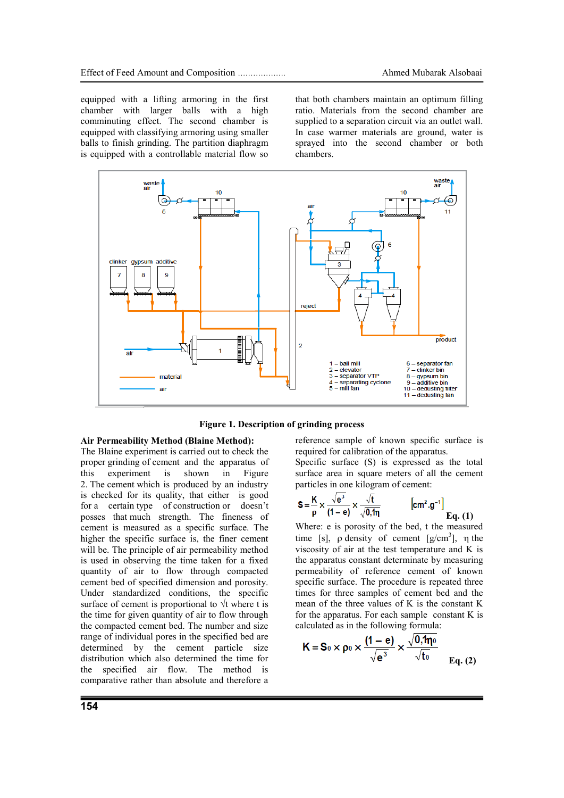equipped with a lifting armoring in the first chamber with larger balls with a high comminuting effect. The second chamber is equipped with classifying armoring using smaller balls to finish grinding. The partition diaphragm is equipped with a controllable material flow so that both chambers maintain an optimum filling ratio. Materials from the second chamber are supplied to a separation circuit via an outlet wall. In case warmer materials are ground, water is sprayed into the second chamber or both chambers.



**Figure 1. Description of grinding process**

# **Air Permeability Method (Blaine Method):**

The Blaine experiment is carried out to check the proper grinding of cement and the apparatus of this experiment is shown in Figure 2. The cement which is produced by an industry is checked for its quality, that either is good for a certain type of construction or doesn't posses that much strength. The fineness of cement is measured as a specific surface. The higher the specific surface is, the finer cement will be. The principle of air permeability method is used in observing the time taken for a fixed quantity of air to flow through compacted cement bed of specified dimension and porosity. Under standardized conditions, the specific surface of cement is proportional to  $\forall$ t where t is the time for given quantity of air to flow through the compacted cement bed. The number and size range of individual pores in the specified bed are determined by the cement particle size distribution which also determined the time for the specified air flow. The method is comparative rather than absolute and therefore a reference sample of known specific surface is required for calibration of the apparatus.

Specific surface (S) is expressed as the total surface area in square meters of all the cement particles in one kilogram of cement:

$$
S = \frac{K}{\rho} \times \frac{\sqrt{e^3}}{(1 - e)} \times \frac{\sqrt{t}}{\sqrt{0.1\eta}} \qquad \qquad [cm^2 \cdot g^{-1}]
$$
  
Eq. (1)

Where: e is porosity of the bed, t the measured time [s],  $\rho$  density of cement [g/cm<sup>3</sup>],  $\eta$  the viscosity of air at the test temperature and K is the apparatus constant determinate by measuring permeability of reference cement of known specific surface. The procedure is repeated three times for three samples of cement bed and the mean of the three values of K is the constant K for the apparatus. For each sample constant K is calculated as in the following formula:

$$
K = S_0 \times \rho_0 \times \frac{(1 - e)}{\sqrt{e^3}} \times \frac{\sqrt{0, \eta_0}}{\sqrt{t_0}} \Big|_{Eq. (2)}
$$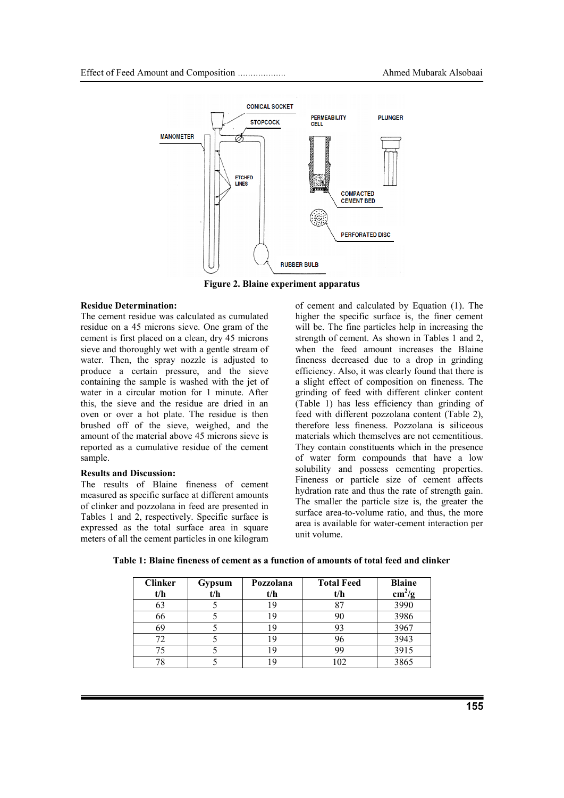

**Figure 2. Blaine experiment apparatus**

#### **Residue Determination:**

The cement residue was calculated as cumulated residue on a 45 microns sieve. One gram of the cement is first placed on a clean, dry 45 microns sieve and thoroughly wet with a gentle stream of water. Then, the spray nozzle is adjusted to produce a certain pressure, and the sieve containing the sample is washed with the jet of water in a circular motion for 1 minute. After this, the sieve and the residue are dried in an oven or over a hot plate. The residue is then brushed off of the sieve, weighed, and the amount of the material above 45 microns sieve is reported as a cumulative residue of the cement sample.

#### **Results and Discussion:**

The results of Blaine fineness of cement measured as specific surface at different amounts of clinker and pozzolana in feed are presented in Tables 1 and 2, respectively. Specific surface is expressed as the total surface area in square meters of all the cement particles in one kilogram

of cement and calculated by Equation (1). The higher the specific surface is, the finer cement will be. The fine particles help in increasing the strength of cement. As shown in Tables 1 and 2, when the feed amount increases the Blaine fineness decreased due to a drop in grinding efficiency. Also, it was clearly found that there is a slight effect of composition on fineness. The grinding of feed with different clinker content (Table 1) has less efficiency than grinding of feed with different pozzolana content (Table 2), therefore less fineness. Pozzolana is siliceous materials which themselves are not cementitious. They contain constituents which in the presence of water form compounds that have a low solubility and possess cementing properties. Fineness or particle size of cement affects hydration rate and thus the rate of strength gain. The smaller the particle size is, the greater the surface area-to-volume ratio, and thus, the more area is available for water-cement interaction per unit volume.

| <b>Clinker</b><br>t/h | Gypsum<br>t/h | Pozzolana<br>t/h | <b>Total Feed</b><br>t/h | <b>Blaine</b><br>$\text{cm}^2/\text{g}$ |
|-----------------------|---------------|------------------|--------------------------|-----------------------------------------|
| 63                    |               |                  |                          | 3990                                    |
| 66                    |               |                  |                          | 3986                                    |
| 69                    |               |                  |                          | 3967                                    |
|                       |               |                  |                          | 3943                                    |
|                       |               |                  |                          | 3915                                    |
|                       |               |                  |                          | 3865                                    |

**Table 1: Blaine fineness of cement as a function of amounts of total feed and clinker**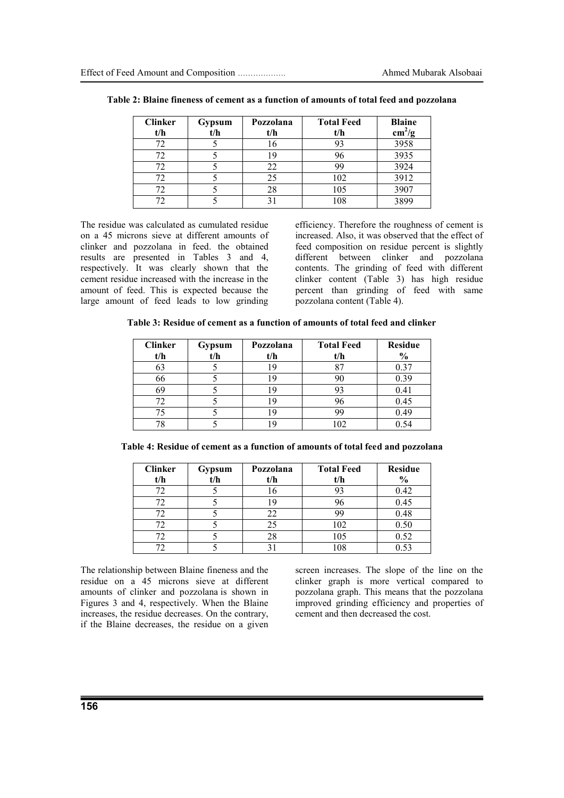| <b>Clinker</b><br>t/h | Gypsum<br>t/h | Pozzolana<br>t/h | <b>Total Feed</b><br>t/h | <b>Blaine</b><br>$\text{cm}^2/\text{g}$ |
|-----------------------|---------------|------------------|--------------------------|-----------------------------------------|
| 72                    |               | 16               |                          | 3958                                    |
|                       |               |                  |                          | 3935                                    |
|                       |               | 22               | 99                       | 3924                                    |
|                       |               | 25               | 102                      | 3912                                    |
|                       |               | 28               | 105                      | 3907                                    |
|                       |               |                  | 108                      |                                         |

**Table 2: Blaine fineness of cement as a function of amounts of total feed and pozzolana**

The residue was calculated as cumulated residue on a 45 microns sieve at different amounts of clinker and pozzolana in feed. the obtained results are presented in Tables 3 and 4, respectively. It was clearly shown that the cement residue increased with the increase in the amount of feed. This is expected because the large amount of feed leads to low grinding efficiency. Therefore the roughness of cement is increased. Also, it was observed that the effect of feed composition on residue percent is slightly different between clinker and pozzolana contents. The grinding of feed with different clinker content (Table 3) has high residue percent than grinding of feed with same pozzolana content (Table 4).

| Table 3: Residue of cement as a function of amounts of total feed and clinker |  |  |
|-------------------------------------------------------------------------------|--|--|
|-------------------------------------------------------------------------------|--|--|

| <b>Clinker</b> | Gypsum | Pozzolana | <b>Total Feed</b> | <b>Residue</b> |
|----------------|--------|-----------|-------------------|----------------|
| t/h            | t/h    | t/h       | t/h               | $\frac{6}{6}$  |
|                |        |           |                   | 0.37           |
| 66             |        |           | 90                | 0.39           |
| 69             |        |           | 93                | 0.41           |
|                |        |           | 96                | 0.45           |
|                |        |           | 99                | 0.49           |
|                |        |           | 102               | 0.54           |

|  | Table 4: Residue of cement as a function of amounts of total feed and pozzolana |  |  |
|--|---------------------------------------------------------------------------------|--|--|
|  |                                                                                 |  |  |

| <b>Clinker</b><br>t/h | Gypsum<br>t/h | Pozzolana<br>t/h | <b>Total Feed</b><br>t/h | <b>Residue</b><br>$\frac{6}{6}$ |
|-----------------------|---------------|------------------|--------------------------|---------------------------------|
| 77                    |               | 16               | 93                       | 0.42                            |
|                       |               |                  | 96                       | 0.45                            |
|                       |               | 22               | 99                       | 0.48                            |
|                       |               | 25               | 102                      | 0.50                            |
|                       |               | 28               | 105                      | 0.52                            |
|                       |               |                  | 108                      | 0.53                            |

The relationship between Blaine fineness and the residue on a 45 microns sieve at different amounts of clinker and pozzolana is shown in Figures 3 and 4, respectively. When the Blaine increases, the residue decreases. On the contrary, if the Blaine decreases, the residue on a given screen increases. The slope of the line on the clinker graph is more vertical compared to pozzolana graph. This means that the pozzolana improved grinding efficiency and properties of cement and then decreased the cost.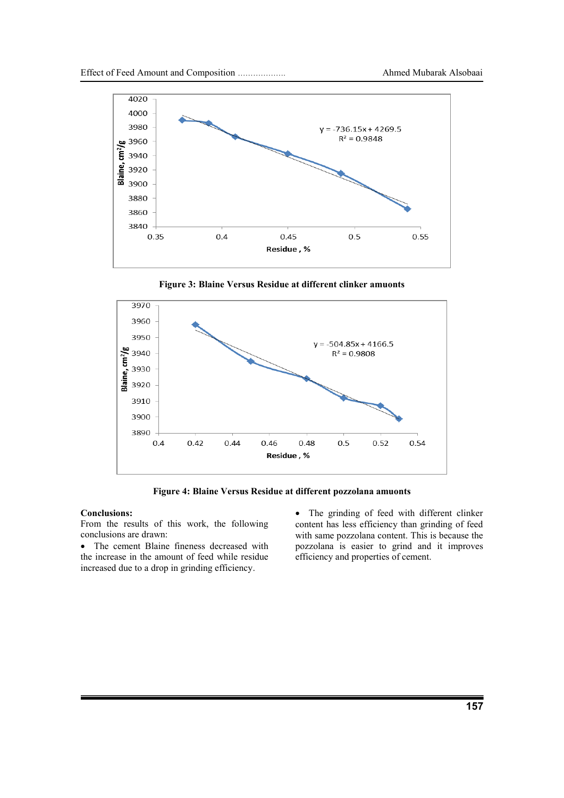

**Figure 3: Blaine Versus Residue at different clinker amuonts**



**Figure 4: Blaine Versus Residue at different pozzolana amuonts**

#### **Conclusions:**

From the results of this work, the following conclusions are drawn:

 The cement Blaine fineness decreased with the increase in the amount of feed while residue increased due to a drop in grinding efficiency.

• The grinding of feed with different clinker content has less efficiency than grinding of feed with same pozzolana content. This is because the pozzolana is easier to grind and it improves efficiency and properties of cement.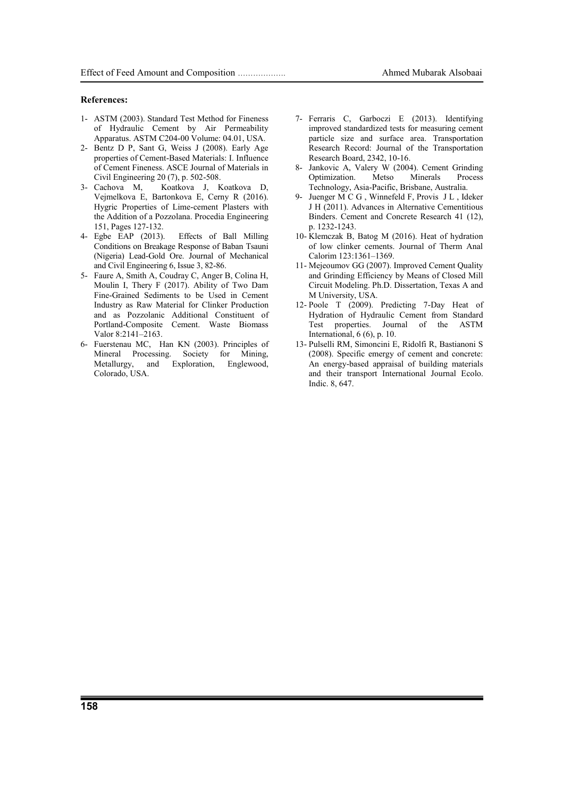#### **References:**

- 1- ASTM (2003). Standard Test Method for Fineness of Hydraulic Cement by Air Permeability Apparatus. ASTM C204-00 Volume: 04.01, USA.
- 2- Bentz D P, Sant G, Weiss J (2008). Early Age properties of Cement-Based Materials: I. Influence of Cement Fineness. ASCE Journal of Materials in Civil Engineering 20 (7), p. 502-508.
- 3- Cachova M, Koatkova J, Koatkova D, Vejmelkova E, Bartonkova E, Cerny R (2016). Hygric Properties of Lime-cement Plasters with the Addition of a Pozzolana. Procedia Engineering 151, Pages 127-132.
- 4- Egbe EAP (2013). Effects of Ball Milling Conditions on Breakage Response of Baban Tsauni (Nigeria) Lead-Gold Ore. Journal of Mechanical and Civil Engineering 6, Issue 3, 82-86.
- 5- Faure A, Smith A, Coudray C, Anger B, Colina H, Moulin I, Thery F (2017). Ability of Two Dam Fine-Grained Sediments to be Used in Cement Industry as Raw Material for Clinker Production and as Pozzolanic Additional Constituent of Portland-Composite Cement. Waste Biomass Valor 8:2141–2163.
- 6- Fuerstenau MC, Han KN (2003). Principles of Mineral Processing. Society for Mining, Metallurgy, and Exploration, Englewood, Colorado, USA.
- 7- Ferraris C, Garboczi E (2013). Identifying improved standardized tests for measuring cement particle size and surface area. Transportation Research Record: Journal of the Transportation Research Board, 2342, 10-16.
- 8- Jankovic A, Valery W (2004). Cement Grinding Optimization. Metso Minerals Process Technology, Asia-Pacific, Brisbane, Australia.
- 9- Juenger M C G , Winnefeld F, Provis J L , Ideker J H (2011). Advances in Alternative Cementitious Binders. Cement and Concrete Research 41 (12), p. 1232-1243.
- 10- Klemczak B, Batog M (2016). Heat of hydration of low clinker cements. Journal of Therm Anal Calorim 123:1361–1369.
- 11- Mejeoumov GG (2007). Improved Cement Quality and Grinding Efficiency by Means of Closed Mill Circuit Modeling. Ph.D. Dissertation, Texas A and M University, USA.
- 12- Poole T (2009). Predicting 7-Day Heat of Hydration of Hydraulic Cement from Standard Test properties. Journal of the ASTM International, 6 (6), p. 10.
- 13- Pulselli RM, Simoncini E, Ridolfi R, Bastianoni S (2008). Specific emergy of cement and concrete: An energy-based appraisal of building materials and their transport International Journal Ecolo. Indic. 8, 647.